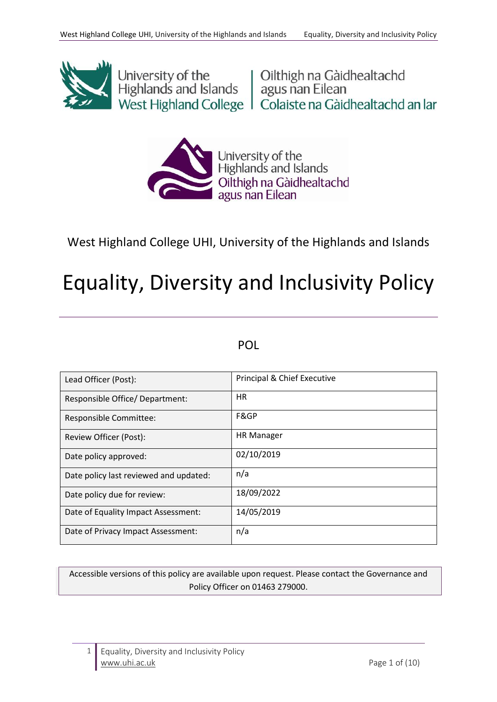

University of the University of the University of the Highlands and Islands agus nan Eilean<br>
West Highland College | Colaiste na Gàidhealtachd an Iar



# West Highland College UHI, University of the Highlands and Islands

# Equality, Diversity and Inclusivity Policy

# POL

| Lead Officer (Post):                   | Principal & Chief Executive |
|----------------------------------------|-----------------------------|
| Responsible Office/ Department:        | <b>HR</b>                   |
| Responsible Committee:                 | F&GP                        |
| Review Officer (Post):                 | <b>HR Manager</b>           |
| Date policy approved:                  | 02/10/2019                  |
| Date policy last reviewed and updated: | n/a                         |
| Date policy due for review:            | 18/09/2022                  |
| Date of Equality Impact Assessment:    | 14/05/2019                  |
| Date of Privacy Impact Assessment:     | n/a                         |

Accessible versions of this policy are available upon request. Please contact the Governance and Policy Officer on 01463 279000.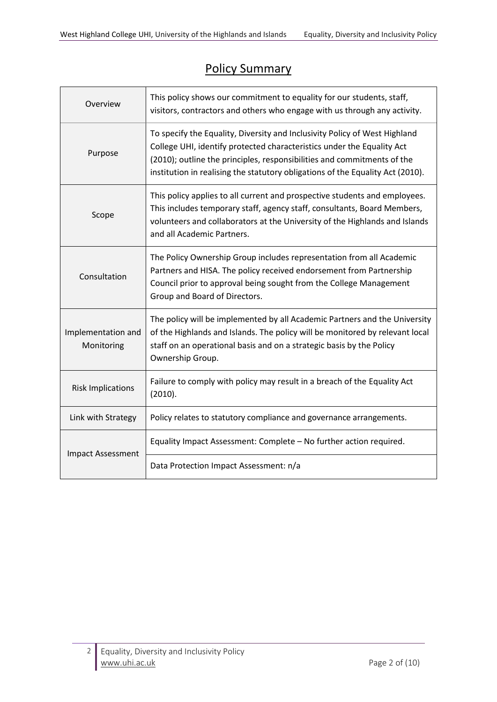# Policy Summary

| Overview                         | This policy shows our commitment to equality for our students, staff,<br>visitors, contractors and others who engage with us through any activity.                                                                                                                                                                |  |  |
|----------------------------------|-------------------------------------------------------------------------------------------------------------------------------------------------------------------------------------------------------------------------------------------------------------------------------------------------------------------|--|--|
| Purpose                          | To specify the Equality, Diversity and Inclusivity Policy of West Highland<br>College UHI, identify protected characteristics under the Equality Act<br>(2010); outline the principles, responsibilities and commitments of the<br>institution in realising the statutory obligations of the Equality Act (2010). |  |  |
| Scope                            | This policy applies to all current and prospective students and employees.<br>This includes temporary staff, agency staff, consultants, Board Members,<br>volunteers and collaborators at the University of the Highlands and Islands<br>and all Academic Partners.                                               |  |  |
| Consultation                     | The Policy Ownership Group includes representation from all Academic<br>Partners and HISA. The policy received endorsement from Partnership<br>Council prior to approval being sought from the College Management<br>Group and Board of Directors.                                                                |  |  |
| Implementation and<br>Monitoring | The policy will be implemented by all Academic Partners and the University<br>of the Highlands and Islands. The policy will be monitored by relevant local<br>staff on an operational basis and on a strategic basis by the Policy<br>Ownership Group.                                                            |  |  |
| <b>Risk Implications</b>         | Failure to comply with policy may result in a breach of the Equality Act<br>(2010).                                                                                                                                                                                                                               |  |  |
| Link with Strategy               | Policy relates to statutory compliance and governance arrangements.                                                                                                                                                                                                                                               |  |  |
| <b>Impact Assessment</b>         | Equality Impact Assessment: Complete - No further action required.                                                                                                                                                                                                                                                |  |  |
|                                  | Data Protection Impact Assessment: n/a                                                                                                                                                                                                                                                                            |  |  |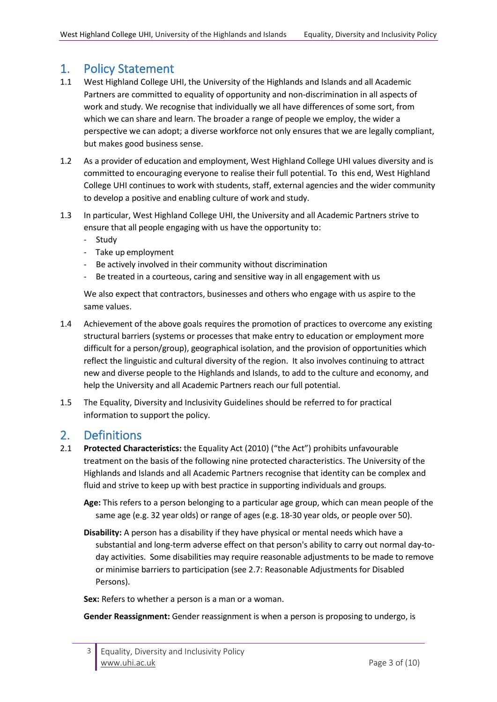# 1. Policy Statement

- 1.1 West Highland College UHI, the University of the Highlands and Islands and all Academic Partners are committed to equality of opportunity and non-discrimination in all aspects of work and study. We recognise that individually we all have differences of some sort, from which we can share and learn. The broader a range of people we employ, the wider a perspective we can adopt; a diverse workforce not only ensures that we are legally compliant, but makes good business sense.
- 1.2 As a provider of education and employment, West Highland College UHI values diversity and is committed to encouraging everyone to realise their full potential. To this end, West Highland College UHI continues to work with students, staff, external agencies and the wider community to develop a positive and enabling culture of work and study.
- 1.3 In particular, West Highland College UHI, the University and all Academic Partners strive to ensure that all people engaging with us have the opportunity to:
	- Study
	- Take up employment
	- Be actively involved in their community without discrimination
	- Be treated in a courteous, caring and sensitive way in all engagement with us

We also expect that contractors, businesses and others who engage with us aspire to the same values.

- 1.4 Achievement of the above goals requires the promotion of practices to overcome any existing structural barriers (systems or processes that make entry to education or employment more difficult for a person/group), geographical isolation, and the provision of opportunities which reflect the linguistic and cultural diversity of the region. It also involves continuing to attract new and diverse people to the Highlands and Islands, to add to the culture and economy, and help the University and all Academic Partners reach our full potential.
- 1.5 The Equality, Diversity and Inclusivity Guidelines should be referred to for practical information to support the policy.

# 2. Definitions

2.1 **Protected Characteristics:** the Equality Act (2010) ("the Act") prohibits unfavourable treatment on the basis of the following nine protected characteristics. The University of the Highlands and Islands and all Academic Partners recognise that identity can be complex and fluid and strive to keep up with best practice in supporting individuals and groups.

**Age:** This refers to a person belonging to a particular age group, which can mean people of the same age (e.g. 32 year olds) or range of ages (e.g. 18-30 year olds, or people over 50).

**Disability:** A person has a disability if they have physical or mental needs which have a substantial and long-term adverse effect on that person's ability to carry out normal day-today activities. Some disabilities may require reasonable adjustments to be made to remove or minimise barriers to participation (see 2.7: Reasonable Adjustments for Disabled Persons).

**Sex:** Refers to whether a person is a man or a woman.

**Gender Reassignment:** Gender reassignment is when a person is proposing to undergo, is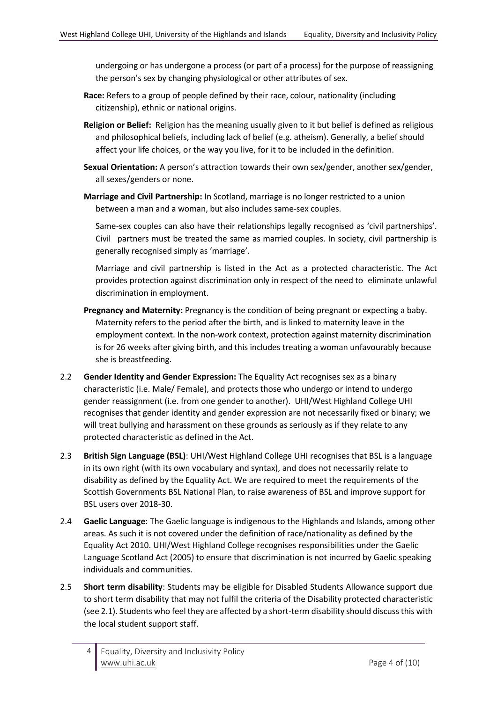undergoing or has undergone a process (or part of a process) for the purpose of reassigning the person's sex by changing physiological or other attributes of sex.

- **Race:** Refers to a group of people defined by their race, colour, nationality (including citizenship), ethnic or national origins.
- **Religion or Belief:** Religion has the meaning usually given to it but belief is defined as religious and philosophical beliefs, including lack of belief (e.g. atheism). Generally, a belief should affect your life choices, or the way you live, for it to be included in the definition.
- **Sexual Orientation:** A person's attraction towards their own sex/gender, another sex/gender, all sexes/genders or none.
- **Marriage and Civil Partnership:** In Scotland, marriage is no longer restricted to a union between a man and a woman, but also includes same-sex couples.

Same-sex couples can also have their relationships legally recognised as 'civil partnerships'. Civil partners must be treated the same as married couples. In society, civil partnership is generally recognised simply as 'marriage'.

Marriage and civil partnership is listed in the Act as a protected characteristic. The Act provides protection against discrimination only in respect of the need to eliminate unlawful discrimination in employment.

- **Pregnancy and Maternity:** Pregnancy is the condition of being pregnant or expecting a baby. Maternity refers to the period after the birth, and is linked to maternity leave in the employment context. In the non-work context, protection against maternity discrimination is for 26 weeks after giving birth, and this includes treating a woman unfavourably because she is breastfeeding.
- 2.2 **Gender Identity and Gender Expression:** The Equality Act recognises sex as a binary characteristic (i.e. Male/ Female), and protects those who undergo or intend to undergo gender reassignment (i.e. from one gender to another). UHI/West Highland College UHI recognises that gender identity and gender expression are not necessarily fixed or binary; we will treat bullying and harassment on these grounds as seriously as if they relate to any protected characteristic as defined in the Act.
- 2.3 **British Sign Language (BSL)**: UHI/West Highland College UHI recognises that BSL is a language in its own right (with its own vocabulary and syntax), and does not necessarily relate to disability as defined by the Equality Act. We are required to meet the requirements of the Scottish Governments BSL National Plan, to raise awareness of BSL and improve support for BSL users over 2018-30.
- 2.4 **Gaelic Language**: The Gaelic language is indigenous to the Highlands and Islands, among other areas. As such it is not covered under the definition of race/nationality as defined by the Equality Act 2010. UHI/West Highland College recognises responsibilities under the Gaelic Language Scotland Act (2005) to ensure that discrimination is not incurred by Gaelic speaking individuals and communities.
- 2.5 **Short term disability**: Students may be eligible for Disabled Students Allowance support due to short term disability that may not fulfil the criteria of the Disability protected characteristic (see 2.1). Students who feel they are affected by a short-term disability should discuss this with the local student support staff.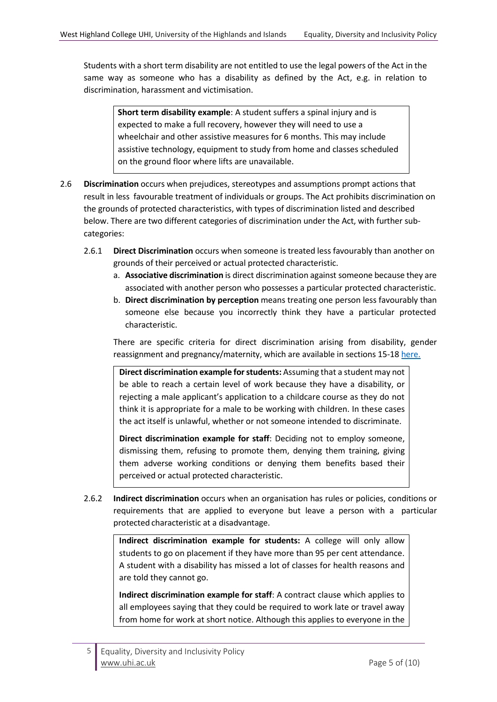Students with a short term disability are not entitled to use the legal powers of the Act in the same way as someone who has a disability as defined by the Act, e.g. in relation to discrimination, harassment and victimisation.

**Short term disability example**: A student suffers a spinal injury and is expected to make a full recovery, however they will need to use a wheelchair and other assistive measures for 6 months. This may include assistive technology, equipment to study from home and classes scheduled on the ground floor where lifts are unavailable.

- 2.6 **Discrimination** occurs when prejudices, stereotypes and assumptions prompt actions that result in less favourable treatment of individuals or groups. The Act prohibits discrimination on the grounds of protected characteristics, with types of discrimination listed and described below. There are two different categories of discrimination under the Act, with further subcategories:
	- 2.6.1 **Direct Discrimination** occurs when someone is treated less favourably than another on grounds of their perceived or actual protected characteristic.
		- a. **Associative discrimination** is direct discrimination against someone because they are associated with another person who possesses a particular protected characteristic.
		- b. **Direct discrimination by perception** means treating one person less favourably than someone else because you incorrectly think they have a particular protected characteristic.

There are specific criteria for direct discrimination arising from disability, gender reassignment and pregnancy/maternity, which are available in sections 15-1[8 here.](http://www.legislation.gov.uk/ukpga/2010/15/section/15)

**Direct discrimination example for students:** Assuming that a student may not be able to reach a certain level of work because they have a disability, or rejecting a male applicant's application to a childcare course as they do not think it is appropriate for a male to be working with children. In these cases the act itself is unlawful, whether or not someone intended to discriminate.

**Direct discrimination example for staff**: Deciding not to employ someone, dismissing them, refusing to promote them, denying them training, giving them adverse working conditions or denying them benefits based their perceived or actual protected characteristic.

2.6.2 **Indirect discrimination** occurs when an organisation has rules or policies, conditions or requirements that are applied to everyone but leave a person with a particular protected characteristic at a disadvantage.

**Indirect discrimination example for students:** A college will only allow students to go on placement if they have more than 95 per cent attendance. A student with a disability has missed a lot of classes for health reasons and are told they cannot go.

**Indirect discrimination example for staff**: A contract clause which applies to all employees saying that they could be required to work late or travel away from home for work at short notice. Although this applies to everyone in the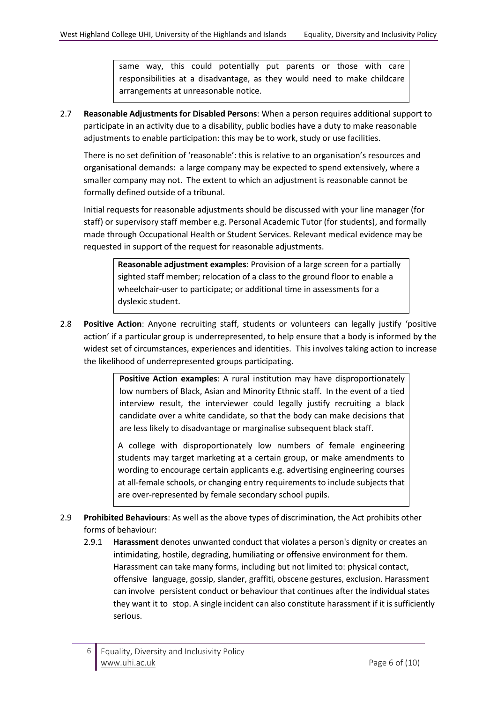same way, this could potentially put parents or those with care responsibilities at a disadvantage, as they would need to make childcare arrangements at unreasonable notice.

2.7 **Reasonable Adjustments for Disabled Persons**: When a person requires additional support to participate in an activity due to a disability, public bodies have a duty to make reasonable adjustments to enable participation: this may be to work, study or use facilities.

There is no set definition of 'reasonable': this is relative to an organisation's resources and organisational demands: a large company may be expected to spend extensively, where a smaller company may not. The extent to which an adjustment is reasonable cannot be formally defined outside of a tribunal.

Initial requests for reasonable adjustments should be discussed with your line manager (for staff) or supervisory staff member e.g. Personal Academic Tutor (for students), and formally made through Occupational Health or Student Services. Relevant medical evidence may be requested in support of the request for reasonable adjustments.

> **Reasonable adjustment examples**: Provision of a large screen for a partially sighted staff member; relocation of a class to the ground floor to enable a wheelchair-user to participate; or additional time in assessments for a dyslexic student.

2.8 **Positive Action**: Anyone recruiting staff, students or volunteers can legally justify 'positive action' if a particular group is underrepresented, to help ensure that a body is informed by the widest set of circumstances, experiences and identities. This involves taking action to increase the likelihood of underrepresented groups participating.

> **Positive Action examples**: A rural institution may have disproportionately low numbers of Black, Asian and Minority Ethnic staff. In the event of a tied interview result, the interviewer could legally justify recruiting a black candidate over a white candidate, so that the body can make decisions that are less likely to disadvantage or marginalise subsequent black staff.

> A college with disproportionately low numbers of female engineering students may target marketing at a certain group, or make amendments to wording to encourage certain applicants e.g. advertising engineering courses at all-female schools, or changing entry requirements to include subjects that are over-represented by female secondary school pupils.

- 2.9 **Prohibited Behaviours**: As well as the above types of discrimination, the Act prohibits other forms of behaviour:
	- 2.9.1 **Harassment** denotes unwanted conduct that violates a person's dignity or creates an intimidating, hostile, degrading, humiliating or offensive environment for them. Harassment can take many forms, including but not limited to: physical contact, offensive language, gossip, slander, graffiti, obscene gestures, exclusion. Harassment can involve persistent conduct or behaviour that continues after the individual states they want it to stop. A single incident can also constitute harassment if it is sufficiently serious.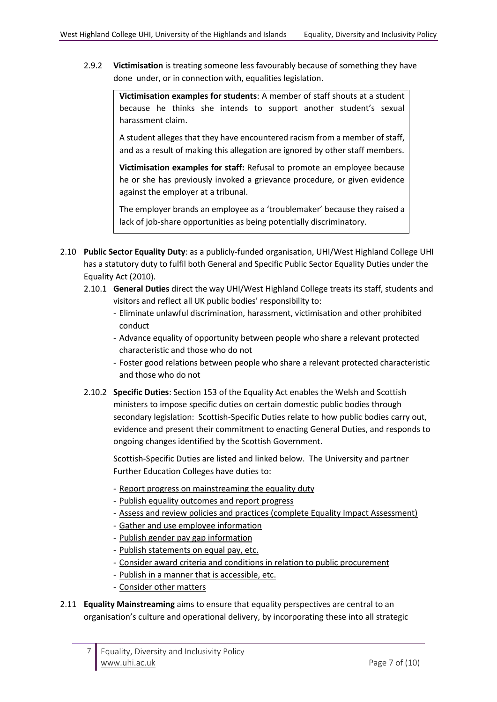2.9.2 **Victimisation** is treating someone less favourably because of something they have done under, or in connection with, equalities legislation.

> **Victimisation examples for students**: A member of staff shouts at a student because he thinks she intends to support another student's sexual harassment claim.

> A student alleges that they have encountered racism from a member of staff, and as a result of making this allegation are ignored by other staff members.

> **Victimisation examples for staff:** Refusal to promote an employee because he or she has previously invoked a grievance procedure, or given evidence against the employer at a tribunal.

> The employer brands an employee as a 'troublemaker' because they raised a lack of job-share opportunities as being potentially discriminatory.

- 2.10 **Public Sector Equality Duty**: as a publicly-funded organisation, UHI/West Highland College UHI has a statutory duty to fulfil both General and Specific Public Sector Equality Duties under the Equality Act (2010).
	- 2.10.1 **General Duties** direct the way UHI/West Highland College treats its staff, students and visitors and reflect all UK public bodies' responsibility to:
		- Eliminate unlawful discrimination, harassment, victimisation and other prohibited conduct
		- Advance equality of opportunity between people who share a relevant protected characteristic and those who do not
		- Foster good relations between people who share a relevant protected characteristic and those who do not
	- 2.10.2 **[Specific Duties](http://www.legislation.gov.uk/ukpga/2010/15/section/153)**: Section 153 of the Equality Act enables the Welsh and Scottish ministers to impose specific duties on certain domestic public bodies through secondary legislation: Scottish-Specific Duties relate to how public bodies carry out, evidence and present their commitment to enacting General Duties, and responds to ongoing changes identified by the Scottish Government.

Scottish-Specific Duties are listed and linked below. The University and partner Further Education Colleges have duties to:

- [Report progress on mainstreaming the equality duty](http://www.legislation.gov.uk/ssi/2012/162/regulation/3/made)
- [Publish equality outcomes and report progress](http://www.legislation.gov.uk/ssi/2012/162/regulation/4/made)
- [Assess and review policies and practices](http://www.legislation.gov.uk/ssi/2012/162/regulation/5/made) (complete Equality Impact Assessment)
- [Gather and use employee information](http://www.legislation.gov.uk/ssi/2012/162/regulation/6/made)
- [Publish gender pay gap information](http://www.legislation.gov.uk/ssi/2012/162/regulation/7/made)
- [Publish statements on equal pay, etc.](http://www.legislation.gov.uk/ssi/2012/162/regulation/8/made)
- [Consider award criteria and conditions in relation to public procurement](http://www.legislation.gov.uk/ssi/2012/162/regulation/9/made)
- [Publish in a manner that is accessible, etc.](http://www.legislation.gov.uk/ssi/2012/162/regulation/10/made)
- [Consider other matters](http://www.legislation.gov.uk/ssi/2012/162/regulation/11/made)
- 2.11 **Equality Mainstreaming** aims to ensure that equality perspectives are central to an organisation's culture and operational delivery, by incorporating these into all strategic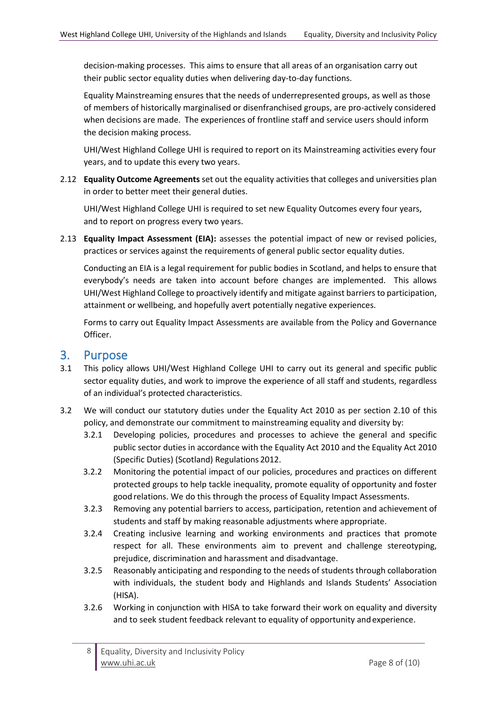decision-making processes. This aims to ensure that all areas of an organisation carry out their public sector equality duties when delivering day-to-day functions.

Equality Mainstreaming ensures that the needs of underrepresented groups, as well as those of members of historically marginalised or disenfranchised groups, are pro-actively considered when decisions are made. The experiences of frontline staff and service users should inform the decision making process.

UHI/West Highland College UHI is required to report on its Mainstreaming activities every four years, and to update this every two years.

2.12 **Equality Outcome Agreements** set out the equality activities that colleges and universities plan in order to better meet their general duties.

UHI/West Highland College UHI is required to set new Equality Outcomes every four years, and to report on progress every two years.

2.13 **Equality Impact Assessment (EIA):** assesses the potential impact of new or revised policies, practices or services against the requirements of general public sector equality duties.

Conducting an EIA is a legal requirement for public bodies in Scotland, and helps to ensure that everybody's needs are taken into account before changes are implemented. This allows UHI/West Highland College to proactively identify and mitigate against barriers to participation, attainment or wellbeing, and hopefully avert potentially negative experiences.

Forms to carry out Equality Impact Assessments are available from the Policy and Governance Officer.

# 3. Purpose

- 3.1 This policy allows UHI/West Highland College UHI to carry out its general and specific public sector equality duties, and work to improve the experience of all staff and students, regardless of an individual's protected characteristics.
- 3.2 We will conduct our statutory duties under the Equality Act 2010 as per section 2.10 of this policy, and demonstrate our commitment to mainstreaming equality and diversity by:
	- 3.2.1 Developing policies, procedures and processes to achieve the general and specific public sector duties in accordance with the Equality Act 2010 and the Equality Act 2010 (Specific Duties) (Scotland) Regulations 2012.
	- 3.2.2 Monitoring the potential impact of our policies, procedures and practices on different protected groups to help tackle inequality, promote equality of opportunity and foster good relations. We do this through the process of Equality Impact Assessments.
	- 3.2.3 Removing any potential barriers to access, participation, retention and achievement of students and staff by making reasonable adjustments where appropriate.
	- 3.2.4 Creating inclusive learning and working environments and practices that promote respect for all. These environments aim to prevent and challenge stereotyping, prejudice, discrimination and harassment and disadvantage.
	- 3.2.5 Reasonably anticipating and responding to the needs of students through collaboration with individuals, the student body and Highlands and Islands Students' Association (HISA).
	- 3.2.6 Working in conjunction with HISA to take forward their work on equality and diversity and to seek student feedback relevant to equality of opportunity andexperience.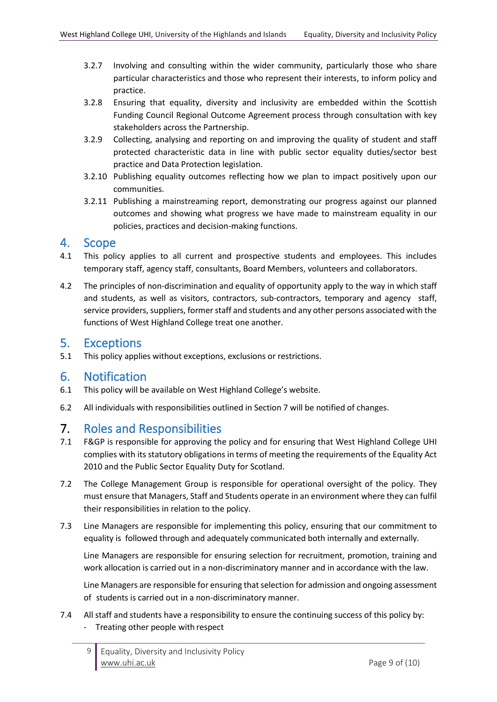- 3.2.7 Involving and consulting within the wider community, particularly those who share particular characteristics and those who represent their interests, to inform policy and practice.
- 3.2.8 Ensuring that equality, diversity and inclusivity are embedded within the Scottish Funding Council Regional Outcome Agreement process through consultation with key stakeholders across the Partnership.
- 3.2.9 Collecting, analysing and reporting on and improving the quality of student and staff protected characteristic data in line with public sector equality duties/sector best practice and Data Protection legislation.
- 3.2.10 Publishing equality outcomes reflecting how we plan to impact positively upon our communities.
- 3.2.11 Publishing a mainstreaming report, demonstrating our progress against our planned outcomes and showing what progress we have made to mainstream equality in our policies, practices and decision-making functions.

#### 4. Scope

- 4.1 This policy applies to all current and prospective students and employees. This includes temporary staff, agency staff, consultants, Board Members, volunteers and collaborators.
- 4.2 The principles of non-discrimination and equality of opportunity apply to the way in which staff and students, as well as visitors, contractors, sub-contractors, temporary and agency staff, service providers, suppliers, former staff and students and any other persons associated with the functions of West Highland College treat one another.

# 5. Exceptions

5.1 This policy applies without exceptions, exclusions or restrictions.

# 6. Notification

- 6.1 This policy will be available on West Highland College's website.
- 6.2 All individuals with responsibilities outlined in Section 7 will be notified of changes.

# 7. Roles and Responsibilities

- 7.1 F&GP is responsible for approving the policy and for ensuring that West Highland College UHI complies with its statutory obligations in terms of meeting the requirements of the Equality Act 2010 and the Public Sector Equality Duty for Scotland.
- 7.2 The College Management Group is responsible for operational oversight of the policy. They must ensure that Managers, Staff and Students operate in an environment where they can fulfil their responsibilities in relation to the policy.
- 7.3 Line Managers are responsible for implementing this policy, ensuring that our commitment to equality is followed through and adequately communicated both internally and externally.

Line Managers are responsible for ensuring selection for recruitment, promotion, training and work allocation is carried out in a non-discriminatory manner and in accordance with the law.

Line Managers are responsible for ensuring that selection for admission and ongoing assessment of students is carried out in a non-discriminatory manner.

7.4 All staff and students have a responsibility to ensure the continuing success of this policy by: - Treating other people with respect